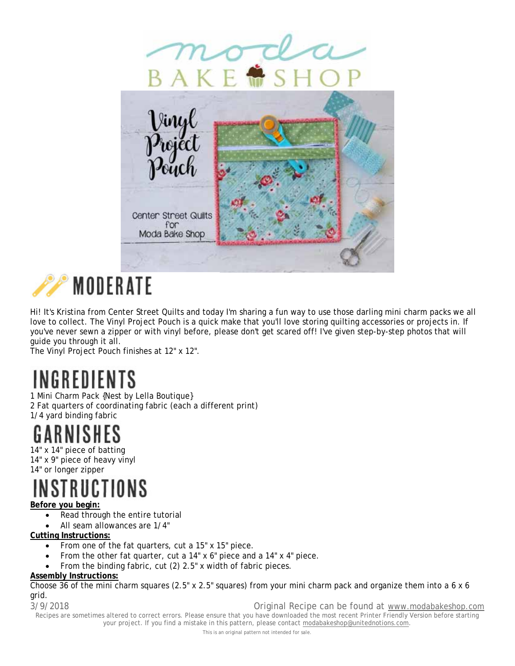

# **MODERATE**

Hi! It's Kristina from Center Street Quilts and today I'm sharing a fun way to use those darling mini charm packs we all love to collect. The Vinyl Project Pouch is a quick make that you'll love storing quilting accessories or projects in. If you've never sewn a zipper or with vinyl before, please don't get scared off! I've given step-by-step photos that will guide you through it all.

The Vinyl Project Pouch finishes at 12" x 12".

# INGREDIENTS

1 Mini Charm Pack {Nest by Lella Boutique} 2 Fat quarters of coordinating fabric (each a different print) 1/4 yard binding fabric

### SН

14" x 14" piece of batting 14" x 9" piece of heavy vinyl 14" or longer zipper

# CTIONS

### **Before you begin:**

- Read through the entire tutorial
- All seam allowances are 1/4"

### **Cutting Instructions:**

- From one of the fat quarters, cut a 15" x 15" piece.
- From the other fat quarter, cut a 14" x 6" piece and a 14" x 4" piece.
- From the binding fabric, cut (2) 2.5" x width of fabric pieces.

### **Assembly Instructions:**

Choose 36 of the mini charm squares (2.5" x 2.5" squares) from your mini charm pack and organize them into a 6 x 6 grid.

3/9/2018 Original Recipe can be found at www.modabakeshop.com

Recipes are sometimes altered to correct errors. Please ensure that you have downloaded the most recent Printer Friendly Version before starting your project. If you find a mistake in this pattern, please contact modabakeshop@unitednotions.com.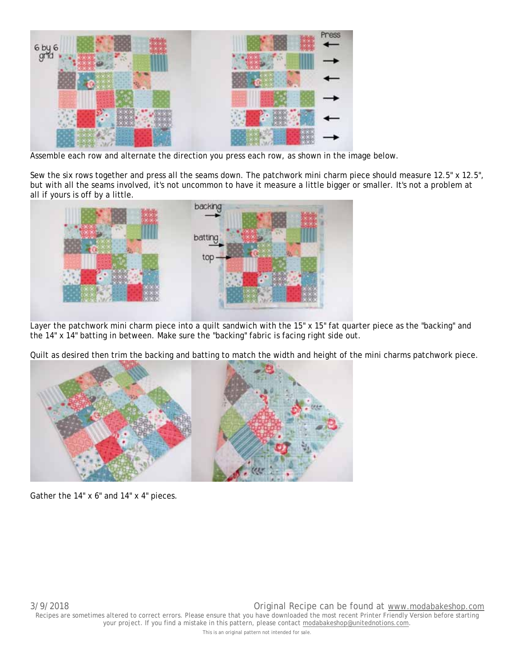

Assemble each row and alternate the direction you press each row, as shown in the image below.

Sew the six rows together and press all the seams down. The patchwork mini charm piece should measure 12.5" x 12.5", but with all the seams involved, it's not uncommon to have it measure a little bigger or smaller. It's not a problem at all if yours is off by a little.



Layer the patchwork mini charm piece into a quilt sandwich with the 15" x 15" fat quarter piece as the "backing" and the 14" x 14" batting in between. Make sure the "backing" fabric is facing right side out.

Quilt as desired then trim the backing and batting to match the width and height of the mini charms patchwork piece.



Gather the 14" x 6" and 14" x 4" pieces.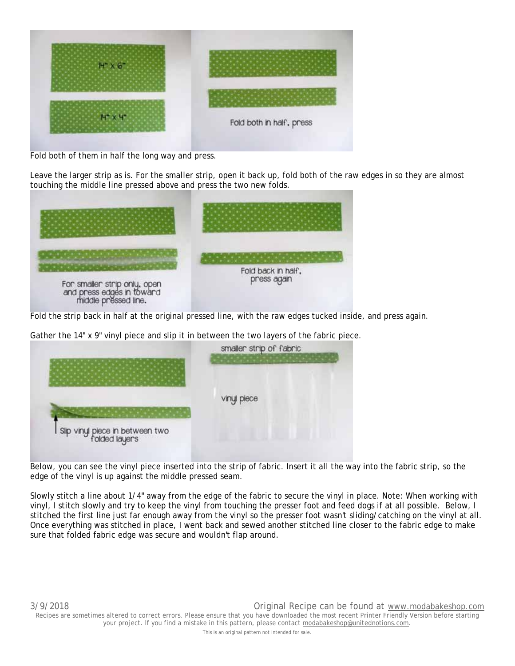

Fold both of them in half the long way and press.

Leave the larger strip as is. For the smaller strip, open it back up, fold both of the raw edges in so they are almost touching the middle line pressed above and press the two new folds.



Fold the strip back in half at the original pressed line, with the raw edges tucked inside, and press again.

Gather the 14" x 9" vinyl piece and slip it in between the two layers of the fabric piece.



Below, you can see the vinyl piece inserted into the strip of fabric. Insert it all the way into the fabric strip, so the edge of the vinyl is up against the middle pressed seam.

Slowly stitch a line about 1/4" away from the edge of the fabric to secure the vinyl in place. Note: When working with vinyl, I stitch slowly and try to keep the vinyl from touching the presser foot and feed dogs if at all possible. Below, I stitched the first line just far enough away from the vinyl so the presser foot wasn't sliding/catching on the vinyl at all. Once everything was stitched in place, I went back and sewed another stitched line closer to the fabric edge to make sure that folded fabric edge was secure and wouldn't flap around.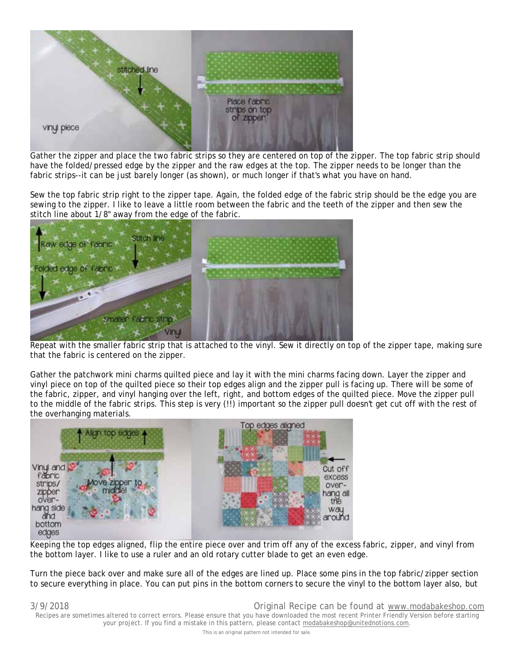

Gather the zipper and place the two fabric strips so they are centered on top of the zipper. The top fabric strip should have the folded/pressed edge by the zipper and the raw edges at the top. The zipper needs to be longer than the fabric strips--it can be just barely longer (as shown), or much longer if that's what you have on hand.

Sew the top fabric strip right to the zipper tape. Again, the folded edge of the fabric strip should be the edge you are sewing to the zipper. I like to leave a little room between the fabric and the teeth of the zipper and then sew the stitch line about 1/8" away from the edge of the fabric.



Repeat with the smaller fabric strip that is attached to the vinyl. Sew it directly on top of the zipper tape, making sure that the fabric is centered on the zipper.

Gather the patchwork mini charms quilted piece and lay it with the mini charms facing down. Layer the zipper and vinyl piece on top of the quilted piece so their top edges align and the zipper pull is facing up. There will be some of the fabric, zipper, and vinyl hanging over the left, right, and bottom edges of the quilted piece. Move the zipper pull to the middle of the fabric strips. This step is very (!!) important so the zipper pull doesn't get cut off with the rest of the overhanging materials.



Keeping the top edges aligned, flip the entire piece over and trim off any of the excess fabric, zipper, and vinyl from the bottom layer. I like to use a ruler and an old rotary cutter blade to get an even edge.

Turn the piece back over and make sure all of the edges are lined up. Place some pins in the top fabric/zipper section to secure everything in place. You can put pins in the bottom corners to secure the vinyl to the bottom layer also, but